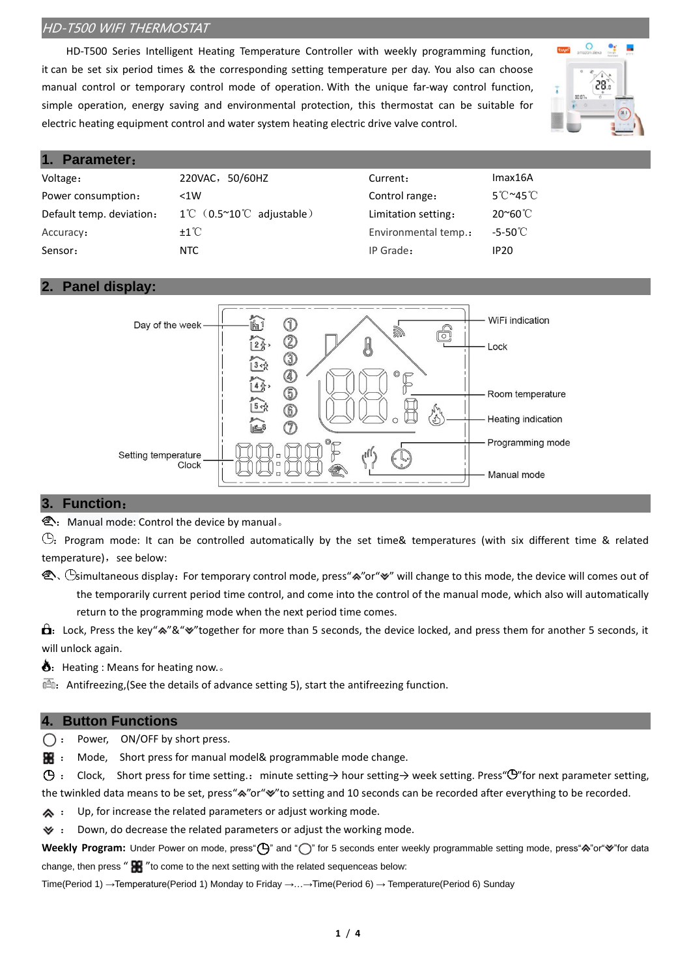HD-T500 Series Intelligent Heating Temperature Controller with weekly programming function, it can be set six period times & the corresponding setting temperature per day. You also can choose manual control or temporary control mode of operation. With the unique far-way control function, simple operation, energy saving and environmental protection, this thermostat can be suitable for electric heating equipment control and water system heating electric drive valve control.



### **1. Parameter**:

| 220VAC, 50/60HZ                                      | Current:             | Imax16A                              |
|------------------------------------------------------|----------------------|--------------------------------------|
| < 1W                                                 | Control range:       | $5^{\circ}$ C $\sim$ 45 $^{\circ}$ C |
| $1^{\circ}$ C $(0.5^{\circ}10^{\circ}$ C adjustable) | Limitation setting:  | 20~60℃                               |
| $\pm 1^{\circ}$ C                                    | Environmental temp.: | $-5-50^{\circ}$ C                    |
| NTC.                                                 | IP Grade:            | IP <sub>20</sub>                     |
|                                                      |                      |                                      |

#### **2. Panel display:**



#### **3. Function**:

<sup>2</sup>: Manual mode: Control the device by manual。

 $\odot$ : Program mode: It can be controlled automatically by the set time& temperatures (with six different time & related temperature), see below:

 $\hat{\ll}$ ,  $\odot$ simultaneous display: For temporary control mode, press"∧"or"∀" will change to this mode, the device will comes out of the temporarily current period time control, and come into the control of the manual mode, which also will automatically return to the programming mode when the next period time comes.

 $\hat{\mathbf{a}}$ : Lock, Press the key" $\hat{\mathbf{z}}$ "  $\hat{\mathbf{z}}$ " together for more than 5 seconds, the device locked, and press them for another 5 seconds, it will unlock again.

 $\delta$ : Heating : Means for heating now...

 $\overline{\mathbb{B}}$ : [Antifreezing,\(](file:///D:/æ°å»ºæä»¶å¤¹/Youdao/Dict/8.4.0.0/resultui/html/index.html#/javascript:;)See the details of advance setting 5), start th[e antifreezing](file:///D:/æ°å»ºæä»¶å¤¹/Youdao/Dict/8.4.0.0/resultui/html/index.html#/javascript:;) function.

#### **4. Button Functions**

 $\bigcap$  : Power, ON/OFF by short press.

**H** : Mode, Short press for manual model& programmable mode change.

: Clock, Short press for time setting.:minute setting→ hour setting→ week setting. Press" "for next [parameter](file:///D:/æ°å»ºæä»¶å¤¹/Youdao/Dict/8.4.0.0/resultui/html/index.html#/javascript:;) setting, the twinkled data means to be set, press"<sup>\*</sup>" or" "to setting and 10 seconds can be recorded after everything to be recorded.

 $\clubsuit$  : Up, for increase the related parameters or adjust working mode.

 $\blacktriangleright$  : Down, do decrease the related parameters or adjust the working mode.

Weekly Program: Under Power on mode, press" ("He and " or 5 seconds enter weekly programmable setting mode, press"<sup>A"</sup> or" "for data change, then press " $\mathbf{F}$ " to come to the next setting with the related [sequencea](file:///D:/æ°å»ºæä»¶å¤¹/Youdao/Dict/8.4.0.0/resultui/html/index.html#/javascript:;)s below:

Time(Period 1) →Temperature(Period 1) Monday to Friday →…→Time(Period 6) → Temperature(Period 6) Sunday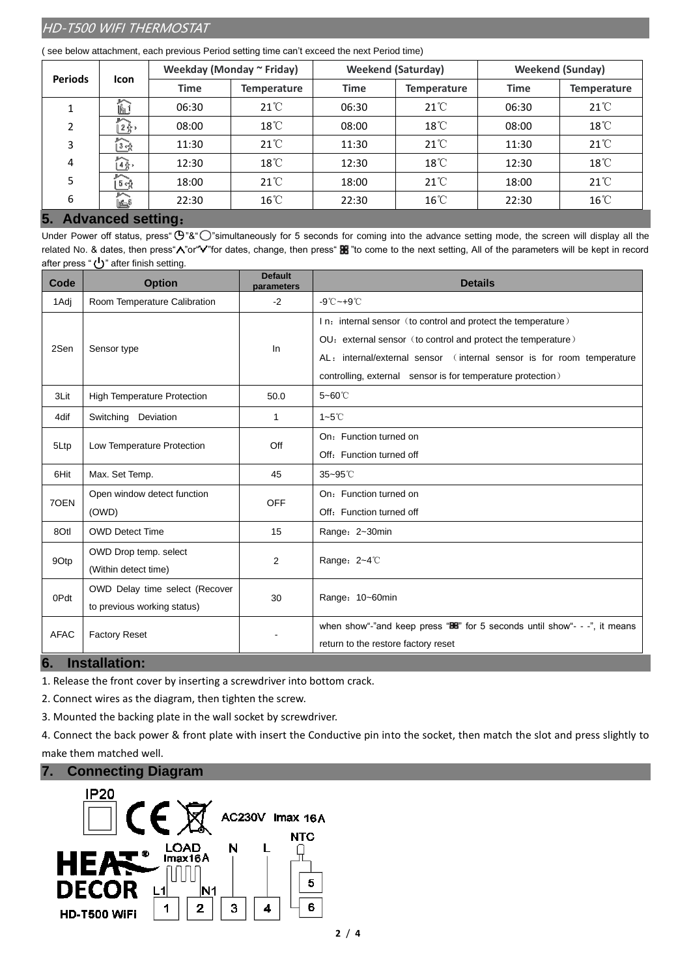|  |  | (see below attachment, each previous Period setting time can't exceed the next Period time) |  |
|--|--|---------------------------------------------------------------------------------------------|--|
|  |  |                                                                                             |  |

| <b>Periods</b><br><b>Icon</b> | Weekday (Monday ~ Friday) |             | <b>Weekend (Saturday)</b> |             | <b>Weekend (Sunday)</b> |             |                    |
|-------------------------------|---------------------------|-------------|---------------------------|-------------|-------------------------|-------------|--------------------|
|                               |                           | <b>Time</b> | <b>Temperature</b>        | <b>Time</b> | <b>Temperature</b>      | <b>Time</b> | <b>Temperature</b> |
|                               | ĥ1                        | 06:30       | $21^{\circ}$              | 06:30       | $21^{\circ}$            | 06:30       | $21^{\circ}$       |
| 2                             | ▶<br>$2\frac{8}{3}$       | 08:00       | $18^{\circ}$ C            | 08:00       | $18^{\circ}$ C          | 08:00       | 18°C               |
| 3                             | $\overbrace{134}$         | 11:30       | $21^{\circ}$              | 11:30       | $21^{\circ}$ C          | 11:30       | $21^{\circ}$       |
| 4                             | $\mathbf{1}_{\hat{A}}$    | 12:30       | $18^{\circ}$ C            | 12:30       | 18°C                    | 12:30       | 18°C               |
| 5                             | $\sqrt{5}$                | 18:00       | $21^{\circ}$              | 18:00       | $21^{\circ}$ C          | 18:00       | $21^{\circ}$       |
| 6                             | $\sim$<br>$\mathbb{R}^6$  | 22:30       | $16^{\circ}$ C            | 22:30       | $16^{\circ}$ C          | 22:30       | $16^{\circ}$ C     |
| -                             | A distance and a addition |             |                           |             |                         |             |                    |

## **5. Advanced setting**:

Under Power off status, press " $\bigoplus$ "&" $\bigodot$ "simultaneously for 5 seconds for coming into the advance setting mode, the screen will display all the related No. & dates, then press "*N*" or "V" for dates, change, then press "B" "to come to the next setting, All of the parameters will be kept in record after press " $\bigcup$ " after finish setting.

| Code        | <b>Option</b>                      | <b>Default</b><br>parameters | <b>Details</b>                                                                |
|-------------|------------------------------------|------------------------------|-------------------------------------------------------------------------------|
| 1 Adj       | Room Temperature Calibration       | $-2$                         | $-9^{\circ}$ C ~ +9 $^{\circ}$ C                                              |
|             |                                    |                              | In: internal sensor (to control and protect the temperature)                  |
| 2Sen        | Sensor type                        | In                           | OU: external sensor (to control and protect the temperature)                  |
|             |                                    |                              | AL: internal/external sensor (internal sensor is for room temperature         |
|             |                                    |                              | controlling, external sensor is for temperature protection)                   |
| 3Lit        | <b>High Temperature Protection</b> | 50.0                         | $5 - 60^\circ$                                                                |
| 4dif        | Switching Deviation                | 1                            | $1 - 5^\circ C$                                                               |
|             |                                    |                              | On: Function turned on                                                        |
| 5Ltp        | Low Temperature Protection         | Off                          | Off: Function turned off                                                      |
| 6Hit        | Max. Set Temp.                     | 45                           | $35 - 95^{\circ}$ C                                                           |
| 70EN        | Open window detect function        | <b>OFF</b>                   | On: Function turned on                                                        |
|             | (OWD)                              |                              | Off: Function turned off                                                      |
| 8Otl        | <b>OWD Detect Time</b>             | 15                           | Range: 2~30min                                                                |
|             | OWD Drop temp. select              |                              | Range: 2~4℃                                                                   |
| 9Otp        | (Within detect time)               | 2                            |                                                                               |
| 0Pdt        | OWD Delay time select (Recover     | 30                           | Range: 10~60min                                                               |
|             | to previous working status)        |                              |                                                                               |
| <b>AFAC</b> | <b>Factory Reset</b>               |                              | when show"-"and keep press " $BB$ " for 5 seconds until show"- - -", it means |
|             |                                    |                              | return to the restore factory reset                                           |

# **6. Installation:**

1. Release the front cover by inserting a screwdriver into bottom crack.

2. Connect wires as the diagram, then tighten the screw.

3. Mounted the backing plate in the wall socket by screwdriver.

4. Connect the back power & front plate with insert the Conductive pin into the socket, then match the slot and press slightly to make them matched well.

### **7. Connecting Diagram**

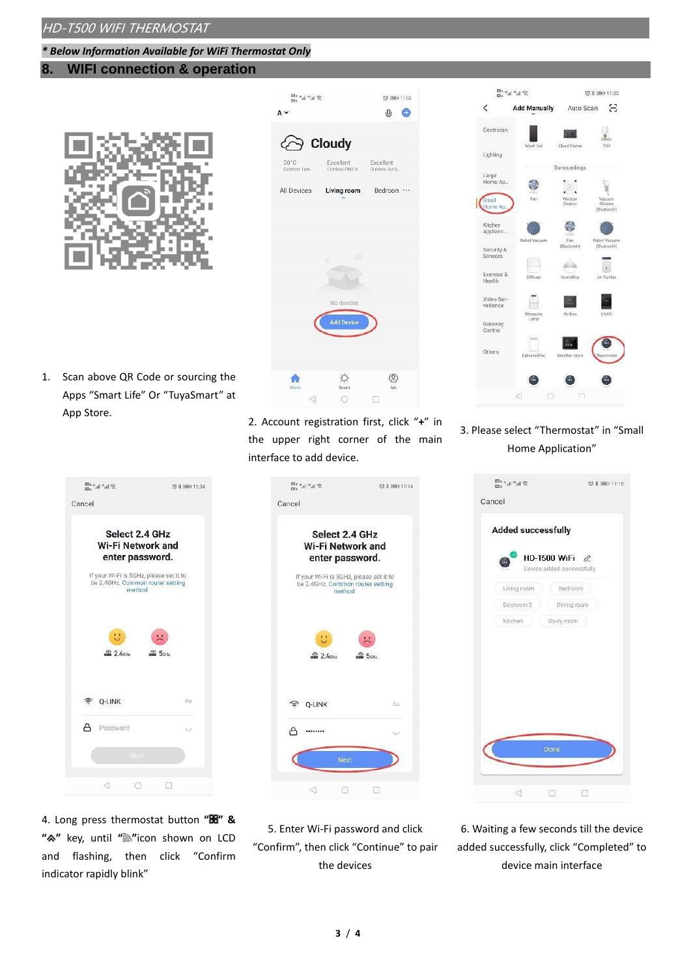#### *\* Below Information Available for WiFi Thermostat Only*

# **8. WIFI connection & operation**



| $\mathcal{D}$ in $\mathcal{P}$ in $\mathcal{P}$ |                           | (0 95 1 1 1:02               |
|-------------------------------------------------|---------------------------|------------------------------|
| $A \vee$                                        |                           | $0$ $\oplus$                 |
| <b>⊘ Cloudy</b>                                 |                           |                              |
| $30^{\circ}$ C<br>Outdoor Tem                   | слоенеnt<br>Outdoor PM2.5 | Excellent<br>Outdoor Air O., |
| All Devices                                     |                           | Living room Bedroon          |
|                                                 |                           |                              |
|                                                 |                           |                              |
|                                                 | T.<br>٥                   |                              |
|                                                 |                           |                              |
|                                                 | No devices                |                              |
|                                                 | <b>Add Device</b>         |                              |
|                                                 |                           |                              |
|                                                 |                           |                              |

1. Scan above QR Code or sourcing the Apps "Smart Life" Or "TuyaSmart" at App Store.



4. Long press thermostat button **" " & " "** key, until **" "**icon shown on LCD and flashing, then click "Confirm indicator rapidly blink"

2. Account registration first, click "**+**" in the upper right corner of the main interface to add device.



5. Enter Wi-Fi password and click "Confirm", then click "Continue" to pair the devices



3. Please select "Thermostat" in "Small Home Application"



6. Waiting a few seconds till the device added successfully, click "Completed" to device main interface